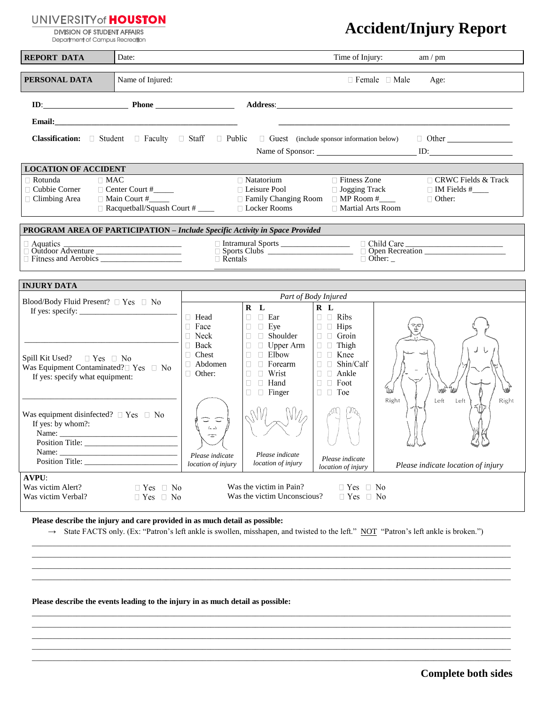## **UNIVERSITY of HOUSTON**

**DIVISION OF STUDENT AFFAIRS** Department of Campus Recreation

## **Accident/Injury Report**

| <b>REPORT DATA</b>                                                                                                                                                                                                                                                                                                                                                                                           | Date:             |                                                                                                        |                                                                                                                                                                                                                         | Time of Injury:                                                                                                                                                        | am / pm                                                                                                                                                                                                                                                                  |  |  |  |
|--------------------------------------------------------------------------------------------------------------------------------------------------------------------------------------------------------------------------------------------------------------------------------------------------------------------------------------------------------------------------------------------------------------|-------------------|--------------------------------------------------------------------------------------------------------|-------------------------------------------------------------------------------------------------------------------------------------------------------------------------------------------------------------------------|------------------------------------------------------------------------------------------------------------------------------------------------------------------------|--------------------------------------------------------------------------------------------------------------------------------------------------------------------------------------------------------------------------------------------------------------------------|--|--|--|
| PERSONAL DATA<br>Name of Injured:                                                                                                                                                                                                                                                                                                                                                                            |                   |                                                                                                        | $\Box$ Female $\Box$ Male<br>Age:                                                                                                                                                                                       |                                                                                                                                                                        |                                                                                                                                                                                                                                                                          |  |  |  |
|                                                                                                                                                                                                                                                                                                                                                                                                              | $ID:$ Phone Phone |                                                                                                        |                                                                                                                                                                                                                         |                                                                                                                                                                        | Address: <u>Address:</u> Address: <b>Address:</b> Address: <b>Address:</b> Address: <b>Address:</b> Address: <b>Address:</b> Address: <b>Address:</b> Address: <b>Address: Address: Address: Address: Address: <b>Address: Address: Address: Address: Address: A</b></b> |  |  |  |
|                                                                                                                                                                                                                                                                                                                                                                                                              |                   |                                                                                                        |                                                                                                                                                                                                                         |                                                                                                                                                                        |                                                                                                                                                                                                                                                                          |  |  |  |
| Classification: □ Student □ Faculty □ Staff □ Public<br>$\Box$ Guest (include sponsor information below)<br>$\Box$ Other<br>Name of Sponsor: ID:                                                                                                                                                                                                                                                             |                   |                                                                                                        |                                                                                                                                                                                                                         |                                                                                                                                                                        |                                                                                                                                                                                                                                                                          |  |  |  |
| <b>LOCATION OF ACCIDENT</b>                                                                                                                                                                                                                                                                                                                                                                                  |                   |                                                                                                        |                                                                                                                                                                                                                         |                                                                                                                                                                        |                                                                                                                                                                                                                                                                          |  |  |  |
| $\Box$ Rotunda<br>$\Box$ MAC<br>$\Box$ Natatorium<br>$\Box$ Fitness Zone<br>$\Box$ CRWC Fields & Track<br>$\Box$ Cubbie Corner<br>$\Box$ Leisure Pool<br>□ Jogging Track<br>Center Court #<br>$\Box$ IM Fields # $\_\_$<br>$\Box$ Main Court #<br>□ Family Changing Room<br>$\Box$ MP Room #_____<br>□ Climbing Area<br>$\Box$ Other:<br>Racquetball/Squash Court #<br>□ Locker Rooms<br>□ Martial Arts Room |                   |                                                                                                        |                                                                                                                                                                                                                         |                                                                                                                                                                        |                                                                                                                                                                                                                                                                          |  |  |  |
| <b>PROGRAM AREA OF PARTICIPATION – Include Specific Activity in Space Provided</b>                                                                                                                                                                                                                                                                                                                           |                   |                                                                                                        |                                                                                                                                                                                                                         |                                                                                                                                                                        |                                                                                                                                                                                                                                                                          |  |  |  |
| $\Box$ Aquatics<br>□ Outdoor Adventure                                                                                                                                                                                                                                                                                                                                                                       |                   | □ Child Care<br>$\Box$ Rentals<br>$\Box$ Other:                                                        |                                                                                                                                                                                                                         |                                                                                                                                                                        |                                                                                                                                                                                                                                                                          |  |  |  |
| <b>INJURY DATA</b>                                                                                                                                                                                                                                                                                                                                                                                           |                   |                                                                                                        |                                                                                                                                                                                                                         |                                                                                                                                                                        |                                                                                                                                                                                                                                                                          |  |  |  |
| Blood/Body Fluid Present? $\Box$ Yes $\Box$ No                                                                                                                                                                                                                                                                                                                                                               |                   | Part of Body Injured                                                                                   |                                                                                                                                                                                                                         |                                                                                                                                                                        |                                                                                                                                                                                                                                                                          |  |  |  |
| $\Box$ Yes $\Box$ No<br>Spill Kit Used?<br>Was Equipment Contaminated? $\Box$ Yes $\Box$ No<br>If yes: specify what equipment:                                                                                                                                                                                                                                                                               |                   | □ Head<br>$\Box$ Face<br>$\Box$ Neck<br>$\Box$ Back<br>$\Box$ Chest<br>$\Box$ Abdomen<br>$\Box$ Other: | $R$ $L$<br>$\Box$ $\Box$ Ear<br>$\Box$ $\Box$ Eye<br>□ Shoulder<br>$\Box$<br>$\Box$ Upper Arm<br>$\Box$<br>$\Box$ Elbow<br>$\Box$<br>$\Box$<br>$\Box$ Forearm<br>$\Box$ Wrist<br>$\Box$<br>$\Box$ Hand<br>$\Box$ Finger | R L<br>$\Box$ $\Box$ Ribs<br>$\Box$ Hips<br>$\Box$ $\Box$ Groin<br>$\Box$ Thigh<br>$\Box$ Knee<br>$\Box$ Shin/Calf<br>$\Box$ Ankle<br>$\Box$ $\Box$ Foot<br>$\Box$ Toe | Right<br>Left<br>Left<br>Right                                                                                                                                                                                                                                           |  |  |  |
| Was equipment disinfected? $\Box$ Yes $\Box$ No<br>If yes: by whom?:<br>Name:                                                                                                                                                                                                                                                                                                                                |                   | $(-1)$<br>Please indicate                                                                              | Please indicate                                                                                                                                                                                                         |                                                                                                                                                                        |                                                                                                                                                                                                                                                                          |  |  |  |
|                                                                                                                                                                                                                                                                                                                                                                                                              |                   | location of injury                                                                                     | <i>location of injury</i>                                                                                                                                                                                               | Please indicate<br>location of injury                                                                                                                                  | Please indicate location of injury                                                                                                                                                                                                                                       |  |  |  |
| <b>AVPU:</b><br>Was the victim in Pain?<br>Was victim Alert?<br>$\Box$ Yes $\Box$ No<br>$\Box$ Yes $\Box$ No<br>Was the victim Unconscious?<br>$\Box$ Yes $\Box$ No<br>Was victim Verbal?<br>$\Box$ Yes $\Box$ No                                                                                                                                                                                            |                   |                                                                                                        |                                                                                                                                                                                                                         |                                                                                                                                                                        |                                                                                                                                                                                                                                                                          |  |  |  |

**Please describe the injury and care provided in as much detail as possible:**

→ State FACTS only. (Ex: "Patron's left ankle is swollen, misshapen, and twisted to the left." NOT "Patron's left ankle is broken.")

\_\_\_\_\_\_\_\_\_\_\_\_\_\_\_\_\_\_\_\_\_\_\_\_\_\_\_\_\_\_\_\_\_\_\_\_\_\_\_\_\_\_\_\_\_\_\_\_\_\_\_\_\_\_\_\_\_\_\_\_\_\_\_\_\_\_\_\_\_\_\_\_\_\_\_\_\_\_\_\_\_\_\_\_\_\_\_\_\_\_\_\_\_\_\_\_\_\_\_\_\_\_\_\_\_\_\_\_\_\_\_\_\_\_\_\_\_\_ \_\_\_\_\_\_\_\_\_\_\_\_\_\_\_\_\_\_\_\_\_\_\_\_\_\_\_\_\_\_\_\_\_\_\_\_\_\_\_\_\_\_\_\_\_\_\_\_\_\_\_\_\_\_\_\_\_\_\_\_\_\_\_\_\_\_\_\_\_\_\_\_\_\_\_\_\_\_\_\_\_\_\_\_\_\_\_\_\_\_\_\_\_\_\_\_\_\_\_\_\_\_\_\_\_\_\_\_\_\_\_\_\_\_\_\_\_\_ \_\_\_\_\_\_\_\_\_\_\_\_\_\_\_\_\_\_\_\_\_\_\_\_\_\_\_\_\_\_\_\_\_\_\_\_\_\_\_\_\_\_\_\_\_\_\_\_\_\_\_\_\_\_\_\_\_\_\_\_\_\_\_\_\_\_\_\_\_\_\_\_\_\_\_\_\_\_\_\_\_\_\_\_\_\_\_\_\_\_\_\_\_\_\_\_\_\_\_\_\_\_\_\_\_\_\_\_\_\_\_\_\_\_\_\_\_\_ \_\_\_\_\_\_\_\_\_\_\_\_\_\_\_\_\_\_\_\_\_\_\_\_\_\_\_\_\_\_\_\_\_\_\_\_\_\_\_\_\_\_\_\_\_\_\_\_\_\_\_\_\_\_\_\_\_\_\_\_\_\_\_\_\_\_\_\_\_\_\_\_\_\_\_\_\_\_\_\_\_\_\_\_\_\_\_\_\_\_\_\_\_\_\_\_\_\_\_\_\_\_\_\_\_\_\_\_\_\_\_\_\_\_\_\_\_\_

\_\_\_\_\_\_\_\_\_\_\_\_\_\_\_\_\_\_\_\_\_\_\_\_\_\_\_\_\_\_\_\_\_\_\_\_\_\_\_\_\_\_\_\_\_\_\_\_\_\_\_\_\_\_\_\_\_\_\_\_\_\_\_\_\_\_\_\_\_\_\_\_\_\_\_\_\_\_\_\_\_\_\_\_\_\_\_\_\_\_\_\_\_\_\_\_\_\_\_\_\_\_\_\_\_\_\_\_\_\_\_\_\_\_\_\_\_\_ \_\_\_\_\_\_\_\_\_\_\_\_\_\_\_\_\_\_\_\_\_\_\_\_\_\_\_\_\_\_\_\_\_\_\_\_\_\_\_\_\_\_\_\_\_\_\_\_\_\_\_\_\_\_\_\_\_\_\_\_\_\_\_\_\_\_\_\_\_\_\_\_\_\_\_\_\_\_\_\_\_\_\_\_\_\_\_\_\_\_\_\_\_\_\_\_\_\_\_\_\_\_\_\_\_\_\_\_\_\_\_\_\_\_\_\_\_\_ \_\_\_\_\_\_\_\_\_\_\_\_\_\_\_\_\_\_\_\_\_\_\_\_\_\_\_\_\_\_\_\_\_\_\_\_\_\_\_\_\_\_\_\_\_\_\_\_\_\_\_\_\_\_\_\_\_\_\_\_\_\_\_\_\_\_\_\_\_\_\_\_\_\_\_\_\_\_\_\_\_\_\_\_\_\_\_\_\_\_\_\_\_\_\_\_\_\_\_\_\_\_\_\_\_\_\_\_\_\_\_\_\_\_\_\_\_\_ \_\_\_\_\_\_\_\_\_\_\_\_\_\_\_\_\_\_\_\_\_\_\_\_\_\_\_\_\_\_\_\_\_\_\_\_\_\_\_\_\_\_\_\_\_\_\_\_\_\_\_\_\_\_\_\_\_\_\_\_\_\_\_\_\_\_\_\_\_\_\_\_\_\_\_\_\_\_\_\_\_\_\_\_\_\_\_\_\_\_\_\_\_\_\_\_\_\_\_\_\_\_\_\_\_\_\_\_\_\_\_\_\_\_\_\_\_\_ \_\_\_\_\_\_\_\_\_\_\_\_\_\_\_\_\_\_\_\_\_\_\_\_\_\_\_\_\_\_\_\_\_\_\_\_\_\_\_\_\_\_\_\_\_\_\_\_\_\_\_\_\_\_\_\_\_\_\_\_\_\_\_\_\_\_\_\_\_\_\_\_\_\_\_\_\_\_\_\_\_\_\_\_\_\_\_\_\_\_\_\_\_\_\_\_\_\_\_\_\_\_\_\_\_\_\_\_\_\_\_\_\_\_\_\_\_\_

**Please describe the events leading to the injury in as much detail as possible:**